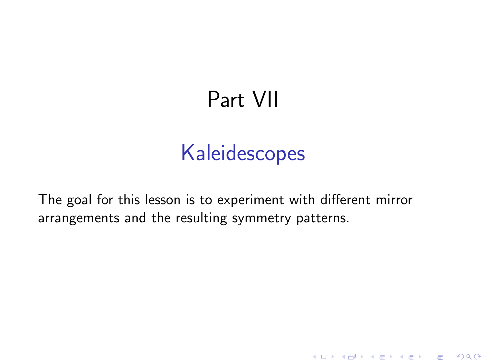# Part VII

# Kaleidescopes

**K ロ ▶ K @ ▶ K 할 X X 할 X 및 할 X X Q Q O \*** 

The goal for this lesson is to experiment with different mirror arrangements and the resulting symmetry patterns.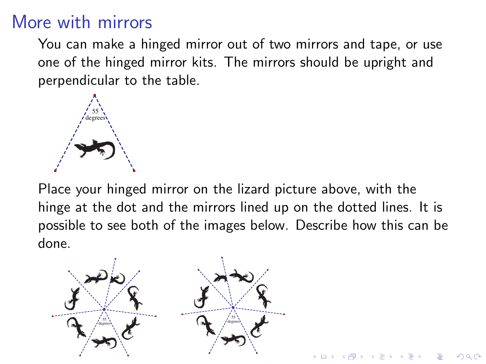## More with mirrors

You can make a hinged mirror out of two mirrors and tape, or use one of the hinged mirror kits. The mirrors should be upright and perpendicular to the table.



Place your hinged mirror on the lizard picture above, with the hinge at the dot and the mirrors lined up on the dotted lines. It is possible to see both of the images below. Describe how this can be done.

**KORK ERKER ADE YOUR** 

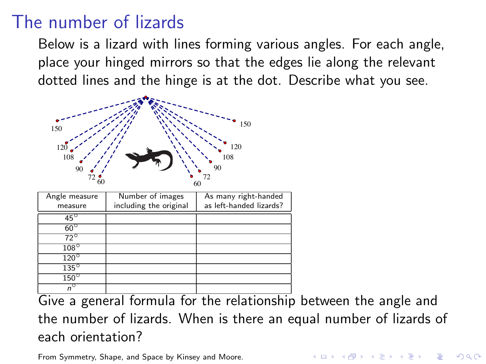## The number of lizards

Below is a lizard with lines forming various angles. For each angle, place your hinged mirrors so that the edges lie along the relevant dotted lines and the hinge is at the dot. Describe what you see.



Give a general formula for the relationship between the angle and the number of lizards. When is there an equal number of lizards of each orientation?

From Symmetry, Shape, and Space by Kinsey and Moore.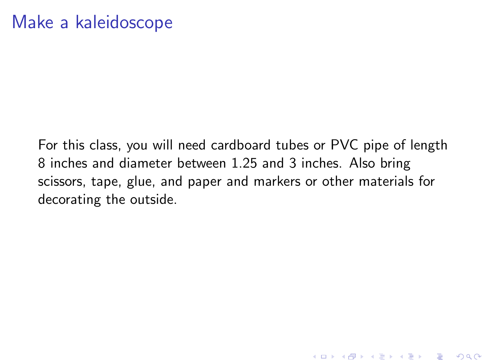For this class, you will need cardboard tubes or PVC pipe of length 8 inches and diameter between 1.25 and 3 inches. Also bring scissors, tape, glue, and paper and markers or other materials for decorating the outside.

**KORKA SERKER ORA**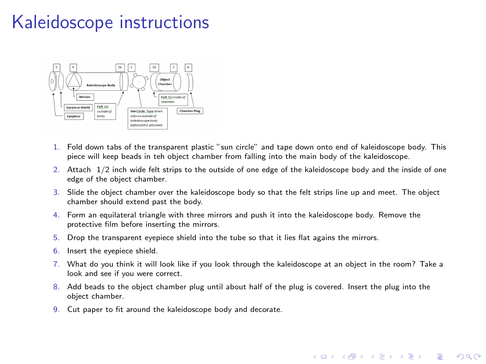# Kaleidoscope instructions



- 1. Fold down tabs of the transparent plastic "sun circle" and tape down onto end of kaleidoscope body. This piece will keep beads in teh object chamber from falling into the main body of the kaleidoscope.
- 2. Attach 1/2 inch wide felt strips to the outside of one edge of the kaleidoscope body and the inside of one edge of the object chamber.
- 3. Slide the object chamber over the kaleidoscope body so that the felt strips line up and meet. The object chamber should extend past the body.
- 4. Form an equilateral triangle with three mirrors and push it into the kaleidoscope body. Remove the protective film before inserting the mirrors.
- 5. Drop the transparent eyepiece shield into the tube so that it lies flat agains the mirrors.
- 6. Insert the eyepiece shield.
- 7. What do you think it will look like if you look through the kaleidoscope at an object in the room? Take a look and see if you were correct.

 $\equiv$ 

 $\Omega$ 

- 8. Add beads to the object chamber plug until about half of the plug is covered. Insert the plug into the object chamber.
- 9. Cut paper to fit around the kaleidoscope body and decorate.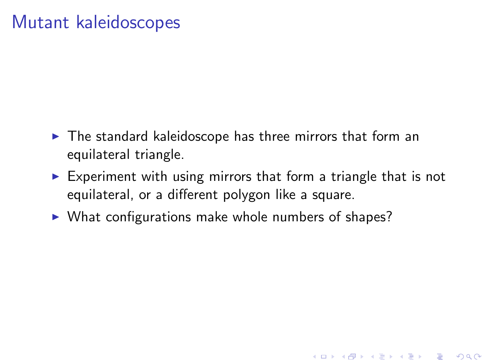### Mutant kaleidoscopes

- $\blacktriangleright$  The standard kaleidoscope has three mirrors that form an equilateral triangle.
- $\triangleright$  Experiment with using mirrors that form a triangle that is not equilateral, or a different polygon like a square.

**K ロ ▶ K @ ▶ K 할 X X 할 X → 할 X → 9 Q Q ^** 

 $\triangleright$  What configurations make whole numbers of shapes?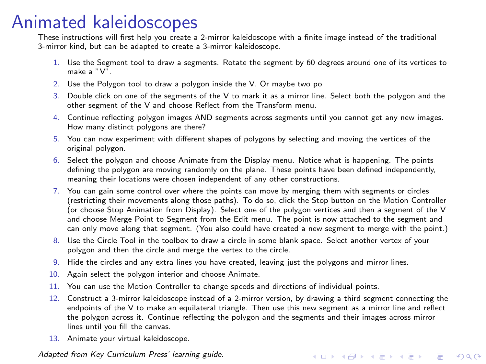### Animated kaleidoscopes

These instructions will first help you create a 2-mirror kaleidoscope with a finite image instead of the traditional 3-mirror kind, but can be adapted to create a 3-mirror kaleidoscope.

- 1. Use the Segment tool to draw a segments. Rotate the segment by 60 degrees around one of its vertices to make a "V".
- 2. Use the Polygon tool to draw a polygon inside the V. Or maybe two po
- 3. Double click on one of the segments of the V to mark it as a mirror line. Select both the polygon and the other segment of the V and choose Reflect from the Transform menu.
- 4. Continue reflecting polygon images AND segments across segments until you cannot get any new images. How many distinct polygons are there?
- 5. You can now experiment with different shapes of polygons by selecting and moving the vertices of the original polygon.
- 6. Select the polygon and choose Animate from the Display menu. Notice what is happening. The points defining the polygon are moving randomly on the plane. These points have been defined independently, meaning their locations were chosen independent of any other constructions.
- 7. You can gain some control over where the points can move by merging them with segments or circles (restricting their movements along those paths). To do so, click the Stop button on the Motion Controller (or choose Stop Animation from Display). Select one of the polygon vertices and then a segment of the V and choose Merge Point to Segment from the Edit menu. The point is now attached to the segment and can only move along that segment. (You also could have created a new segment to merge with the point.)
- 8. Use the Circle Tool in the toolbox to draw a circle in some blank space. Select another vertex of your polygon and then the circle and merge the vertex to the circle.
- 9. Hide the circles and any extra lines you have created, leaving just the polygons and mirror lines.
- 10. Again select the polygon interior and choose Animate.
- 11. You can use the Motion Controller to change speeds and directions of individual points.
- 12. Construct a 3-mirror kaleidoscope instead of a 2-mirror version, by drawing a third segment connecting the endpoints of the V to make an equilateral triangle. Then use this new segment as a mirror line and reflect the polygon across it. Continue reflecting the polygon and the segments and their images across mirror lines until you fill the canvas.

**KORKAR KERKER EL VOLO** 

13. Animate your virtual kaleidoscope.

*Adapted from Key Curriculum Press' learning guide.*